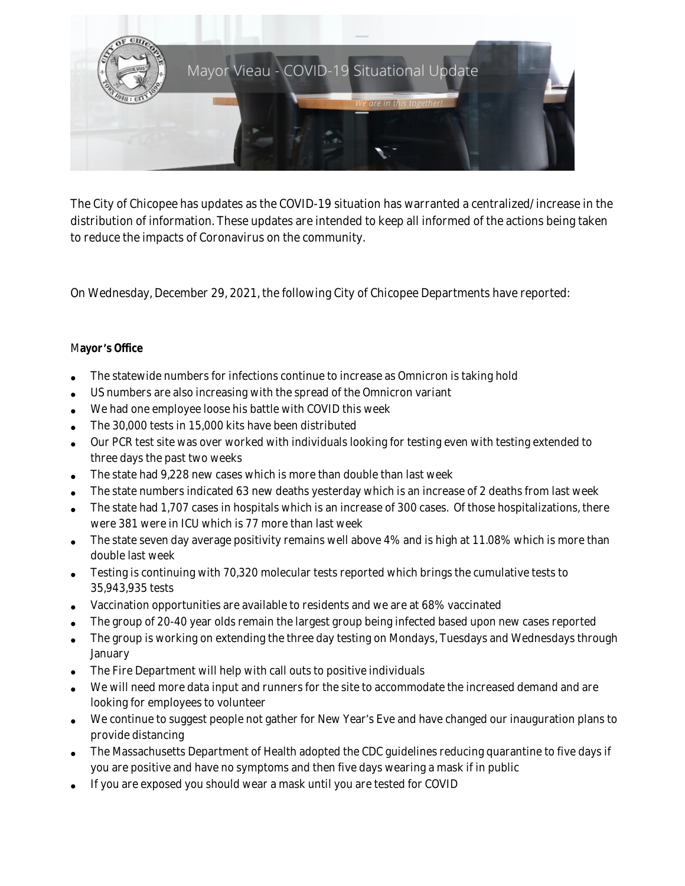

The City of Chicopee has updates as the COVID-19 situation has warranted a centralized/increase in the distribution of information. These updates are intended to keep all informed of the actions being taken to reduce the impacts of Coronavirus on the community.

On Wednesday, December 29, 2021, the following City of Chicopee Departments have reported:

### M**ayor** '**s Office**

- The statewide numbers for infections continue to increase as Omnicron is taking hold
- US numbers are also increasing with the spread of the Omnicron variant
- We had one employee loose his battle with COVID this week
- The 30,000 tests in 15,000 kits have been distributed
- Our PCR test site was over worked with individuals looking for testing even with testing extended to three days the past two weeks
- The state had 9,228 new cases which is more than double than last week
- The state numbers indicated 63 new deaths yesterday which is an increase of 2 deaths from last week
- The state had 1,707 cases in hospitals which is an increase of 300 cases. Of those hospitalizations, there were 381 were in ICU which is 77 more than last week
- The state seven day average positivity remains well above 4% and is high at 11.08% which is more than double last week
- Testing is continuing with 70,320 molecular tests reported which brings the cumulative tests to 35,943,935 tests
- Vaccination opportunities are available to residents and we are at 68% vaccinated
- The group of 20-40 year olds remain the largest group being infected based upon new cases reported
- The group is working on extending the three day testing on Mondays, Tuesdays and Wednesdays through January
- The Fire Department will help with call outs to positive individuals
- We will need more data input and runners for the site to accommodate the increased demand and are looking for employees to volunteer
- We continue to suggest people not gather for New Year's Eve and have changed our inauguration plans to provide distancing
- The Massachusetts Department of Health adopted the CDC guidelines reducing quarantine to five days if you are positive and have no symptoms and then five days wearing a mask if in public
- If you are exposed you should wear a mask until you are tested for COVID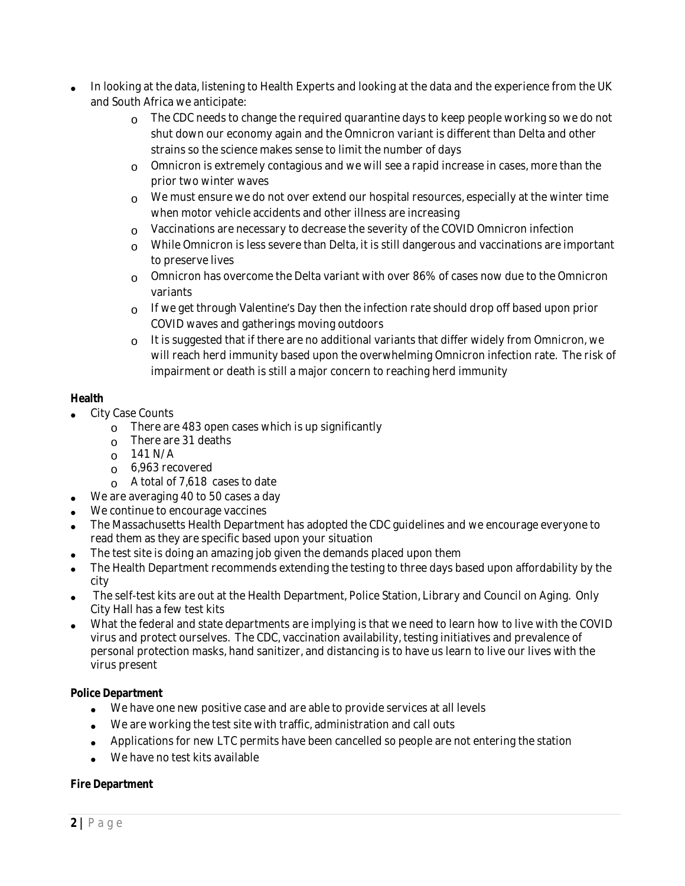- In looking at the data, listening to Health Experts and looking at the data and the experience from the UK and South Africa we anticipate:
	- $\Omega$  The CDC needs to change the required quarantine days to keep people working so we do not shut down our economy again and the Omnicron variant is different than Delta and other strains so the science makes sense to limit the number of days
	- $\circ$  Omnicron is extremely contagious and we will see a rapid increase in cases, more than the prior two winter waves
	- $\circ$  We must ensure we do not over extend our hospital resources, especially at the winter time when motor vehicle accidents and other illness are increasing
	- $\circ$  Vaccinations are necessary to decrease the severity of the COVID Omnicron infection
	- $\circ$  While Omnicron is less severe than Delta, it is still dangerous and vaccinations are important to preserve lives
	- $\circ$  Omnicron has overcome the Delta variant with over 86% of cases now due to the Omnicron variants
	- $\circ$  If we get through Valentine's Day then the infection rate should drop off based upon prior COVID waves and gatherings moving outdoors
	- o It is suggested that if there are no additional variants that differ widely from Omnicron, we will reach herd immunity based upon the overwhelming Omnicron infection rate. The risk of impairment or death is still a major concern to reaching herd immunity

## **Health**

- City Case Counts
	- $\circ$  There are 483 open cases which is up significantly
	- o There are 31 deaths
	- $\Omega$  141 N/A
	- o 6,963 recovered
	- $\circ$  A total of 7,618 cases to date
- We are averaging 40 to 50 cases a day
- We continue to encourage vaccines
- The Massachusetts Health Department has adopted the CDC guidelines and we encourage everyone to read them as they are specific based upon your situation
- The test site is doing an amazing job given the demands placed upon them
- The Health Department recommends extending the testing to three days based upon affordability by the city
- The self-test kits are out at the Health Department, Police Station, Library and Council on Aging. Only City Hall has a few test kits
- What the federal and state departments are implying is that we need to learn how to live with the COVID virus and protect ourselves. The CDC, vaccination availability, testing initiatives and prevalence of personal protection masks, hand sanitizer, and distancing is to have us learn to live our lives with the virus present

### **Police Department**

- We have one new positive case and are able to provide services at all levels
- We are working the test site with traffic, administration and call outs
- Applications for new LTC permits have been cancelled so people are not entering the station
- We have no test kits available

### **Fire Department**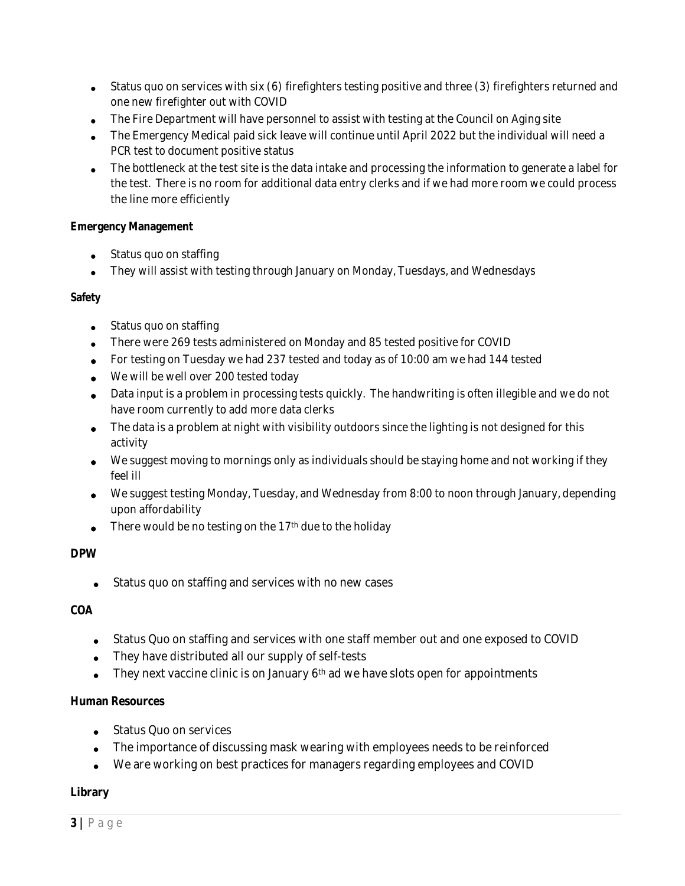- Status quo on services with six (6) firefighters testing positive and three (3) firefighters returned and one new firefighter out with COVID
- The Fire Department will have personnel to assist with testing at the Council on Aging site
- The Emergency Medical paid sick leave will continue until April 2022 but the individual will need a PCR test to document positive status
- The bottleneck at the test site is the data intake and processing the information to generate a label for the test. There is no room for additional data entry clerks and if we had more room we could process the line more efficiently

### **Emergency Management**

- Status quo on staffing
- They will assist with testing through January on Monday, Tuesdays, and Wednesdays

### **Safety**

- Status quo on staffing
- There were 269 tests administered on Monday and 85 tested positive for COVID
- For testing on Tuesday we had 237 tested and today as of 10:00 am we had 144 tested
- We will be well over 200 tested today
- Data input is a problem in processing tests quickly. The handwriting is often illegible and we do not have room currently to add more data clerks
- The data is a problem at night with visibility outdoors since the lighting is not designed for this activity
- We suggest moving to mornings only as individuals should be staying home and not working if they feel ill
- We suggest testing Monday, Tuesday, and Wednesday from 8:00 to noon through January, depending upon affordability
- There would be no testing on the 17<sup>th</sup> due to the holiday

### **DPW**

Status quo on staffing and services with no new cases

### **COA**

- Status Quo on staffing and services with one staff member out and one exposed to COVID
- They have distributed all our supply of self-tests
- They next vaccine clinic is on January  $6<sup>th</sup>$  ad we have slots open for appointments

### **Human Resources**

- Status Quo on services
- The importance of discussing mask wearing with employees needs to be reinforced
- We are working on best practices for managers regarding employees and COVID

### **Library**